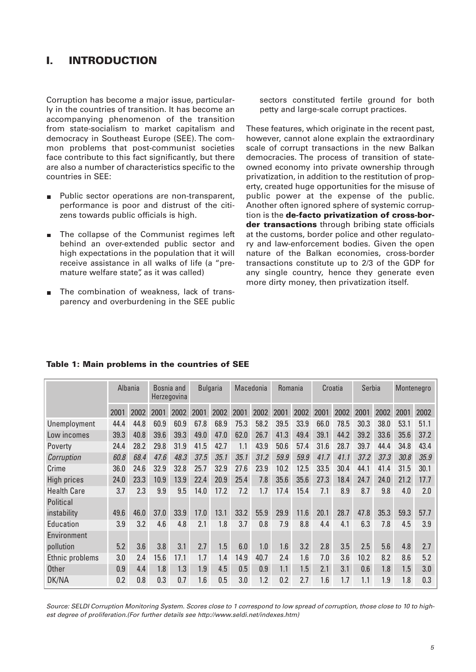## **I. INTRODUCTION**

Corruption has become a major issue, particularly in the countries of transition. It has become an accompanying phenomenon of the transition from state-socialism to market capitalism and democracy in Southeast Europe (SEE). The common problems that post-communist societies face contribute to this fact significantly, but there are also a number of characteristics specific to the countries in SEE:

- Public sector operations are non-transparent,  $\blacksquare$ performance is poor and distrust of the citizens towards public officials is high.
- The collapse of the Communist regimes left  $\blacksquare$ behind an over-extended public sector and high expectations in the population that it will receive assistance in all walks of life (a "premature welfare state", as it was called)
- The combination of weakness, lack of transparency and overburdening in the SEE public

sectors constituted fertile ground for both petty and large-scale corrupt practices.

These features, which originate in the recent past, however, cannot alone explain the extraordinary scale of corrupt transactions in the new Balkan democracies. The process of transition of stateowned economy into private ownership through privatization, in addition to the restitution of property, created huge opportunities for the misuse of public power at the expense of the public. Another often ignored sphere of systemic corruption is the **de-facto privatization of cross-border transactions** through bribing state officials at the customs, border police and other regulatory and law-enforcement bodies. Given the open nature of the Balkan economies, cross-border transactions constitute up to 2/3 of the GDP for any single country, hence they generate even more dirty money, then privatization itself.

|                    | Albania |      | Bosnia and<br>Herzegovina |      | <b>Bulgaria</b> |      | Macedonia |      | Romania |      | Croatia |      | Serbia |      | Montenegro |      |
|--------------------|---------|------|---------------------------|------|-----------------|------|-----------|------|---------|------|---------|------|--------|------|------------|------|
|                    | 2001    | 2002 | 2001                      | 2002 | 2001            | 2002 | 2001      | 2002 | 2001    | 2002 | 2001    | 2002 | 2001   | 2002 | 2001       | 2002 |
| Unemployment       | 44.4    | 44.8 | 60.9                      | 60.9 | 67.8            | 68.9 | 75.3      | 58.2 | 39.5    | 33.9 | 66.0    | 78.5 | 30.3   | 38.0 | 53.1       | 51.1 |
| Low incomes        | 39.3    | 40.8 | 39.6                      | 39.3 | 49.0            | 47.0 | 62.0      | 26.7 | 41.3    | 49.4 | 39.1    | 44.2 | 39.2   | 33.6 | 35.6       | 37.2 |
| Poverty            | 24.4    | 28.2 | 29.8                      | 31.9 | 41.5            | 42.7 | 1.1       | 43.9 | 50.6    | 57.4 | 31.6    | 28.7 | 39.7   | 44.4 | 34.8       | 43.4 |
| Corruption         | 60.8    | 68.4 | 47.6                      | 48.3 | 37.5            | 35.1 | 35.1      | 31.2 | 59.9    | 59.9 | 41.7    | 41.1 | 37.2   | 37.3 | 30.8       | 35.9 |
| Crime              | 36.0    | 24.6 | 32.9                      | 32.8 | 25.7            | 32.9 | 27.6      | 23.9 | 10.2    | 12.5 | 33.5    | 30.4 | 44.1   | 41.4 | 31.5       | 30.1 |
| High prices        | 24.0    | 23.3 | 10.9                      | 13.9 | 22.4            | 20.9 | 25.4      | 7.8  | 35.6    | 35.6 | 27.3    | 18.4 | 24.7   | 24.0 | 21.2       | 17.7 |
| <b>Health Care</b> | 3.7     | 2.3  | 9.9                       | 9.5  | 14.0            | 17.2 | 7.2       | 1.7  | 17.4    | 15.4 | 7.1     | 8.9  | 8.7    | 9.8  | 4.0        | 2.0  |
| Political          |         |      |                           |      |                 |      |           |      |         |      |         |      |        |      |            |      |
| instability        | 49.6    | 46.0 | 37.0                      | 33.9 | 17.0            | 13.1 | 33.2      | 55.9 | 29.9    | 11.6 | 20.1    | 28.7 | 47.8   | 35.3 | 59.3       | 57.7 |
| Education          | 3.9     | 3.2  | 4.6                       | 4.8  | 2.1             | 1.8  | 3.7       | 0.8  | 7.9     | 8.8  | 4.4     | 4.1  | 6.3    | 7.8  | 4.5        | 3.9  |
| Environment        |         |      |                           |      |                 |      |           |      |         |      |         |      |        |      |            |      |
| pollution          | 5.2     | 3.6  | 3.8                       | 3.1  | 2.7             | 1.5  | 6.0       | 1.0  | 1.6     | 3.2  | 2.8     | 3.5  | 2.5    | 5.6  | 4.8        | 2.7  |
| Ethnic problems    | 3.0     | 2.4  | 15.6                      | 17.1 | 1.7             | 1.4  | 14.9      | 40.7 | 2.4     | 1.6  | 7.0     | 3.6  | 10.2   | 8.2  | 8.6        | 5.2  |
| <b>Other</b>       | 0.9     | 4.4  | 1.8                       | 1.3  | 1.9             | 4.5  | 0.5       | 0.9  | 1.1     | 1.5  | 2.1     | 3.1  | 0.6    | 1.8  | 1.5        | 3.0  |
| DK/NA              | 0.2     | 0.8  | 0.3                       | 0.7  | 1.6             | 0.5  | 3.0       | 1.2  | 0.2     | 2.7  | 1.6     | 1.7  | 1.1    | 1.9  | 1.8        | 0.3  |

## **Table 1: Main problems in the countries of SEE**

Source: SELDI Corruption Monitoring System. Scores close to 1 correspond to low spread of corruption, those close to 10 to highest degree of proliferation.(For further details see http://www.seldi.net/indexes.htm)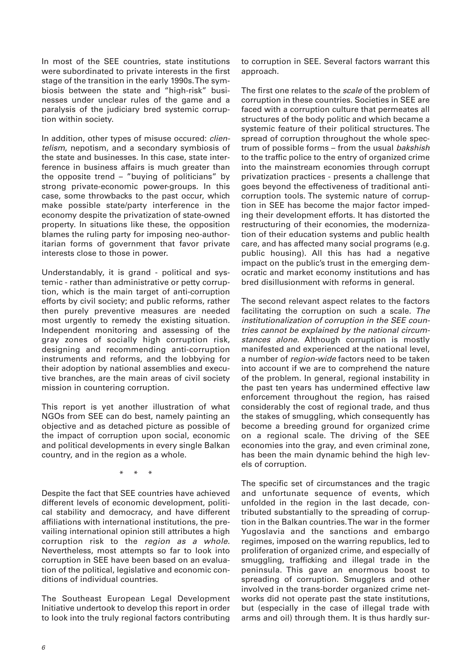In most of the SEE countries, state institutions were subordinated to private interests in the first stage of the transition in the early 1990s. The symbiosis between the state and "high-risk" businesses under unclear rules of the game and a paralysis of the judiciary bred systemic corruption within society.

In addition, other types of misuse occured: *clien*telism, nepotism, and a secondary symbiosis of the state and businesses. In this case, state interference in business affairs is much greater than the opposite trend – "buying of politicians" by strong private-economic power-groups. In this case, some throwbacks to the past occur, which make possible state/party interference in the economy despite the privatization of state-owned property. In situations like these, the opposition blames the ruling party for imposing neo-authoritarian forms of government that favor private interests close to those in power.

Understandably, it is grand - political and systemic - rather than administrative or petty corruption, which is the main target of anti-corruption efforts by civil society; and public reforms, rather then purely preventive measures are needed most urgently to remedy the existing situation. Independent monitoring and assessing of the gray zones of socially high corruption risk, designing and recommending anti-corruption instruments and reforms, and the lobbying for their adoption by national assemblies and executive branches, are the main areas of civil society mission in countering corruption.

This report is yet another illustration of what NGOs from SEE can do best, namely painting an objective and as detached picture as possible of the impact of corruption upon social, economic and political developments in every single Balkan country, and in the region as a whole.

\* \* \*

Despite the fact that SEE countries have achieved different levels of economic development, political stability and democracy, and have different affiliations with international institutions, the prevailing international opinion still attributes a high corruption risk to the region as a whole. Nevertheless, most attempts so far to look into corruption in SEE have been based on an evaluation of the political, legislative and economic conditions of individual countries.

The Southeast European Legal Development Initiative undertook to develop this report in order to look into the truly regional factors contributing

to corruption in SEE. Several factors warrant this approach.

The first one relates to the scale of the problem of corruption in these countries. Societies in SEE are faced with a corruption culture that permeates all structures of the body politic and which became a systemic feature of their political structures. The spread of corruption throughout the whole spectrum of possible forms – from the usual bakshish to the traffic police to the entry of organized crime into the mainstream economies through corrupt privatization practices - presents a challenge that goes beyond the effectiveness of traditional anticorruption tools. The systemic nature of corruption in SEE has become the major factor impeding their development efforts. It has distorted the restructuring of their economies, the modernization of their education systems and public health care, and has affected many social programs (e.g. public housing). All this has had a negative impact on the public's trust in the emerging democratic and market economy institutions and has bred disillusionment with reforms in general.

The second relevant aspect relates to the factors facilitating the corruption on such a scale. The institutionalization of corruption in the SEE countries cannot be explained by the national circumstances alone. Although corruption is mostly manifested and experienced at the national level, a number of region-wide factors need to be taken into account if we are to comprehend the nature of the problem. In general, regional instability in the past ten years has undermined effective law enforcement throughout the region, has raised considerably the cost of regional trade, and thus the stakes of smuggling, which consequently has become a breeding ground for organized crime on a regional scale. The driving of the SEE economies into the gray, and even criminal zone, has been the main dynamic behind the high levels of corruption.

The specific set of circumstances and the tragic and unfortunate sequence of events, which unfolded in the region in the last decade, contributed substantially to the spreading of corruption in the Balkan countries. The war in the former Yugoslavia and the sanctions and embargo regimes, imposed on the warring republics, led to proliferation of organized crime, and especially of smuggling, trafficking and illegal trade in the peninsula. This gave an enormous boost to spreading of corruption. Smugglers and other involved in the trans-border organized crime networks did not operate past the state institutions, but (especially in the case of illegal trade with arms and oil) through them. It is thus hardly sur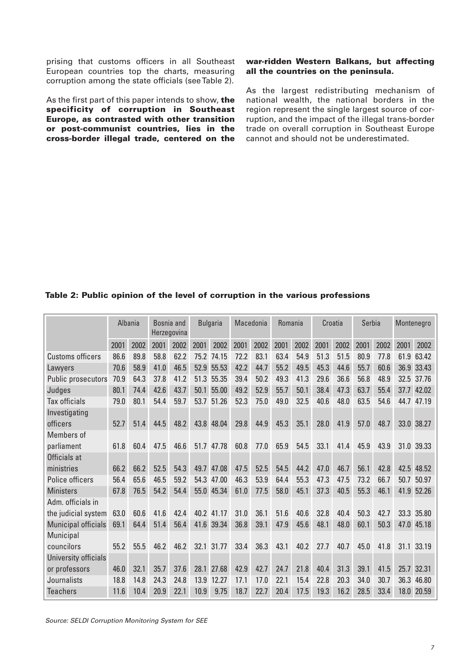prising that customs officers in all Southeast European countries top the charts, measuring corruption among the state officials (see Table 2).

As the first part of this paper intends to show, **the specificity of corruption in Southeast Europe, as contrasted with other transition or post-communist countries, lies in the cross-border illegal trade, centered on the**

## **war-ridden Western Balkans, but affecting all the countries on the peninsula.**

As the largest redistributing mechanism of national wealth, the national borders in the region represent the single largest source of corruption, and the impact of the illegal trans-border trade on overall corruption in Southeast Europe cannot and should not be underestimated.

## **Table 2: Public opinion of the level of corruption in the various professions**

|                            | Albania |      | Bosnia and<br>Herzegovina |      | <b>Bulgaria</b> |            | Macedonia |      | Romania |      | Croatia |      | Serbia |      | Montenegro |            |
|----------------------------|---------|------|---------------------------|------|-----------------|------------|-----------|------|---------|------|---------|------|--------|------|------------|------------|
|                            | 2001    | 2002 | 2001                      | 2002 | 2001            | 2002       | 2001      | 2002 | 2001    | 2002 | 2001    | 2002 | 2001   | 2002 | 2001       | 2002       |
| <b>Customs officers</b>    | 86.6    | 89.8 | 58.8                      | 62.2 |                 | 75.2 74.15 | 72.2      | 83.1 | 63.4    | 54.9 | 51.3    | 51.5 | 80.9   | 77.8 |            | 61.9 63.42 |
| Lawyers                    | 70.6    | 58.9 | 41.0                      | 46.5 |                 | 52.9 55.53 | 42.2      | 44.7 | 55.2    | 49.5 | 45.3    | 44.6 | 55.7   | 60.6 |            | 36.9 33.43 |
| Public prosecutors         | 70.9    | 64.3 | 37.8                      | 41.2 | 51.3            | 55.35      | 39.4      | 50.2 | 49.3    | 41.3 | 29.6    | 36.6 | 56.8   | 48.9 |            | 32.5 37.76 |
| Judges                     | 80.1    | 74.4 | 42.6                      | 43.7 | 50.1            | 55.00      | 49.2      | 52.9 | 55.7    | 50.1 | 38.4    | 47.3 | 63.7   | 55.4 | 37.7       | 42.02      |
| <b>Tax officials</b>       | 79.0    | 80.1 | 54.4                      | 59.7 |                 | 53.7 51.26 | 52.3      | 75.0 | 49.0    | 32.5 | 40.6    | 48.0 | 63.5   | 54.6 |            | 44.7 47.19 |
| Investigating              |         |      |                           |      |                 |            |           |      |         |      |         |      |        |      |            |            |
| officers                   | 52.7    | 51.4 | 44.5                      | 48.2 |                 | 43.8 48.04 | 29.8      | 44.9 | 45.3    | 35.1 | 28.0    | 41.9 | 57.0   | 48.7 | 33.0       | 38.27      |
| Members of                 |         |      |                           |      |                 |            |           |      |         |      |         |      |        |      |            |            |
| parliament                 | 61.8    | 60.4 | 47.5                      | 46.6 |                 | 51.7 47.78 | 60.8      | 77.0 | 65.9    | 54.5 | 33.1    | 41.4 | 45.9   | 43.9 |            | 31.0 39.33 |
| Officials at               |         |      |                           |      |                 |            |           |      |         |      |         |      |        |      |            |            |
| ministries                 | 66.2    | 66.2 | 52.5                      | 54.3 |                 | 49.7 47.08 | 47.5      | 52.5 | 54.5    | 44.2 | 47.0    | 46.7 | 56.1   | 42.8 |            | 42.5 48.52 |
| Police officers            | 56.4    | 65.6 | 46.5                      | 59.2 |                 | 54.3 47.00 | 46.3      | 53.9 | 64.4    | 55.3 | 47.3    | 47.5 | 73.2   | 66.7 | 50.7       | 50.97      |
| <b>Ministers</b>           | 67.8    | 76.5 | 54.2                      | 54.4 |                 | 55.0 45.34 | 61.0      | 77.5 | 58.0    | 45.1 | 37.3    | 40.5 | 55.3   | 46.1 | 41.9       | 52.26      |
| Adm. officials in          |         |      |                           |      |                 |            |           |      |         |      |         |      |        |      |            |            |
| the judicial system        | 63.0    | 60.6 | 41.6                      | 42.4 |                 | 40.2 41.17 | 31.0      | 36.1 | 51.6    | 40.6 | 32.8    | 40.4 | 50.3   | 42.7 |            | 33.3 35.80 |
| <b>Municipal officials</b> | 69.1    | 64.4 | 51.4                      | 56.4 |                 | 41.6 39.34 | 36.8      | 39.1 | 47.9    | 45.6 | 48.1    | 48.0 | 60.1   | 50.3 |            | 47.0 45.18 |
| Municipal                  |         |      |                           |      |                 |            |           |      |         |      |         |      |        |      |            |            |
| councilors                 | 55.2    | 55.5 | 46.2                      | 46.2 | 32.1            | 31.77      | 33.4      | 36.3 | 43.1    | 40.2 | 27.7    | 40.7 | 45.0   | 41.8 | 31.1       | 33.19      |
| University officials       |         |      |                           |      |                 |            |           |      |         |      |         |      |        |      |            |            |
| or professors              | 46.0    | 32.1 | 35.7                      | 37.6 | 28.1            | 27.68      | 42.9      | 42.7 | 24.7    | 21.8 | 40.4    | 31.3 | 39.1   | 41.5 |            | 25.7 32.31 |
| Journalists                | 18.8    | 14.8 | 24.3                      | 24.8 | 13.9            | 12.27      | 17.1      | 17.0 | 22.1    | 15.4 | 22.8    | 20.3 | 34.0   | 30.7 | 36.3       | 46.80      |
| <b>Teachers</b>            | 11.6    | 10.4 | 20.9                      | 22.1 | 10.9            | 9.75       | 18.7      | 22.7 | 20.4    | 17.5 | 19.3    | 16.2 | 28.5   | 33.4 | 18.0       | 20.59      |

Source: SELDI Corruption Monitoring System for SEE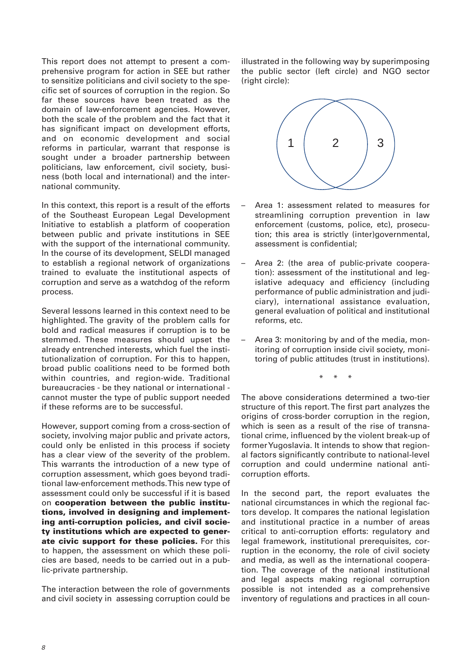This report does not attempt to present a comprehensive program for action in SEE but rather to sensitize politicians and civil society to the specific set of sources of corruption in the region. So far these sources have been treated as the domain of law-enforcement agencies. However, both the scale of the problem and the fact that it has significant impact on development efforts, and on economic development and social reforms in particular, warrant that response is sought under a broader partnership between politicians, law enforcement, civil society, business (both local and international) and the international community.

In this context, this report is a result of the efforts of the Southeast European Legal Development Initiative to establish a platform of cooperation between public and private institutions in SEE with the support of the international community. In the course of its development, SELDI managed to establish a regional network of organizations trained to evaluate the institutional aspects of corruption and serve as a watchdog of the reform process.

Several lessons learned in this context need to be highlighted. The gravity of the problem calls for bold and radical measures if corruption is to be stemmed. These measures should upset the already entrenched interests, which fuel the institutionalization of corruption. For this to happen, broad public coalitions need to be formed both within countries, and region-wide. Traditional bureaucracies - be they national or international cannot muster the type of public support needed if these reforms are to be successful.

However, support coming from a cross-section of society, involving major public and private actors, could only be enlisted in this process if society has a clear view of the severity of the problem. This warrants the introduction of a new type of corruption assessment, which goes beyond traditional law-enforcement methods. This new type of assessment could only be successful if it is based on **cooperation between the public institutions, involved in designing and implementing anti-corruption policies, and civil society institutions which are expected to generate civic support for these policies.** For this to happen, the assessment on which these policies are based, needs to be carried out in a public-private partnership.

The interaction between the role of governments and civil society in assessing corruption could be illustrated in the following way by superimposing the public sector (left circle) and NGO sector (right circle):



- Area 1: assessment related to measures for streamlining corruption prevention in law enforcement (customs, police, etc), prosecution; this area is strictly (inter)governmental, assessment is confidential;
- Area 2: (the area of public-private cooperation): assessment of the institutional and legislative adequacy and efficiency (including performance of public administration and judiciary), international assistance evaluation, general evaluation of political and institutional reforms, etc.
- Area 3: monitoring by and of the media, monitoring of corruption inside civil society, monitoring of public attitudes (trust in institutions).

\* \* \*

The above considerations determined a two-tier structure of this report. The first part analyzes the origins of cross-border corruption in the region, which is seen as a result of the rise of transnational crime, influenced by the violent break-up of former Yugoslavia. It intends to show that regional factors significantly contribute to national-level corruption and could undermine national anticorruption efforts.

In the second part, the report evaluates the national circumstances in which the regional factors develop. It compares the national legislation and institutional practice in a number of areas critical to anti-corruption efforts: regulatory and legal framework, institutional prerequisites, corruption in the economy, the role of civil society and media, as well as the international cooperation. The coverage of the national institutional and legal aspects making regional corruption possible is not intended as a comprehensive inventory of regulations and practices in all coun